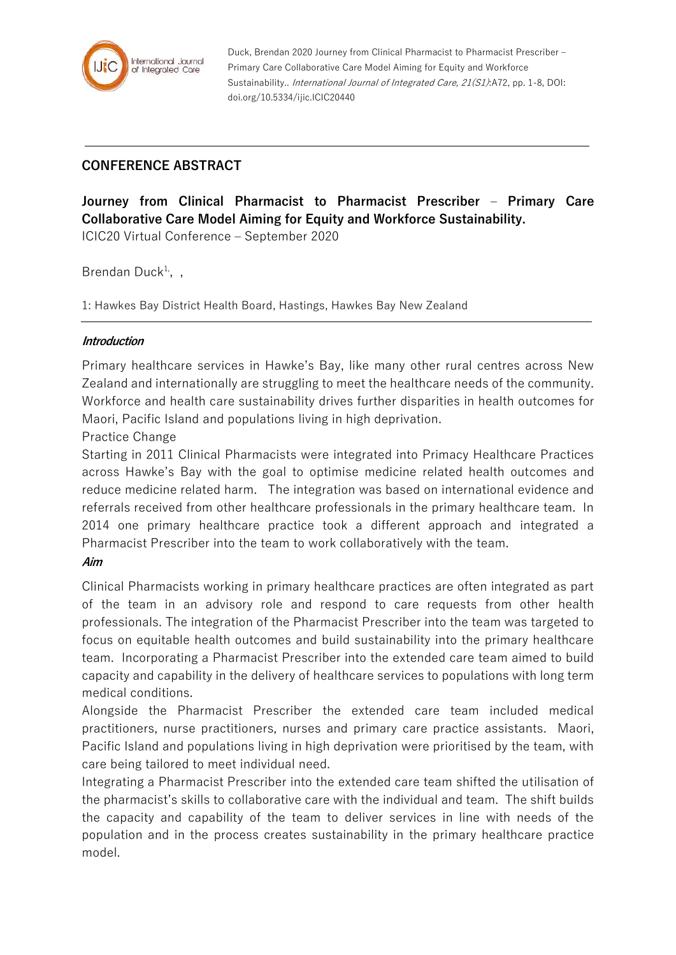

Duck, Brendan 2020 Journey from Clinical Pharmacist to Pharmacist Prescriber – Primary Care Collaborative Care Model Aiming for Equity and Workforce Sustainability.. *International Journal of Integrated Care, 21(S1)*:A72, pp. 1-8, DOI: doi.org/10.5334/ijic.ICIC20440

## **CONFERENCE ABSTRACT**

**Journey from Clinical Pharmacist to Pharmacist Prescriber – Primary Care Collaborative Care Model Aiming for Equity and Workforce Sustainability.**

ICIC20 Virtual Conference – September 2020

Brendan Duck<sup>1,</sup>,,

1: Hawkes Bay District Health Board, Hastings, Hawkes Bay New Zealand

## **Introduction**

Primary healthcare services in Hawke's Bay, like many other rural centres across New Zealand and internationally are struggling to meet the healthcare needs of the community. Workforce and health care sustainability drives further disparities in health outcomes for Maori, Pacific Island and populations living in high deprivation.

Practice Change

Starting in 2011 Clinical Pharmacists were integrated into Primacy Healthcare Practices across Hawke's Bay with the goal to optimise medicine related health outcomes and reduce medicine related harm. The integration was based on international evidence and referrals received from other healthcare professionals in the primary healthcare team. In 2014 one primary healthcare practice took a different approach and integrated a Pharmacist Prescriber into the team to work collaboratively with the team.

## **Aim**

Clinical Pharmacists working in primary healthcare practices are often integrated as part of the team in an advisory role and respond to care requests from other health professionals. The integration of the Pharmacist Prescriber into the team was targeted to focus on equitable health outcomes and build sustainability into the primary healthcare team. Incorporating a Pharmacist Prescriber into the extended care team aimed to build capacity and capability in the delivery of healthcare services to populations with long term medical conditions.

Alongside the Pharmacist Prescriber the extended care team included medical practitioners, nurse practitioners, nurses and primary care practice assistants. Maori, Pacific Island and populations living in high deprivation were prioritised by the team, with care being tailored to meet individual need.

Integrating a Pharmacist Prescriber into the extended care team shifted the utilisation of the pharmacist's skills to collaborative care with the individual and team. The shift builds the capacity and capability of the team to deliver services in line with needs of the population and in the process creates sustainability in the primary healthcare practice model.